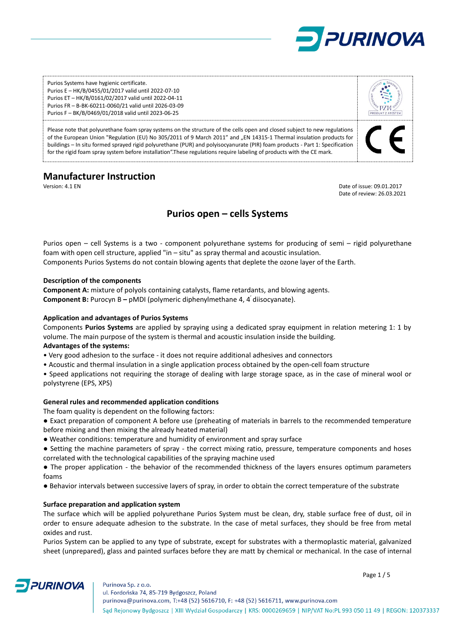

Purios Systems have hygienic certificate. Purios E – HK/B/0455/01/2017 valid until 2022-07-10 Purios ET – HK/B/0161/02/2017 valid until 2022-04-11 Purios FR – B-BK-60211-0060/21 valid until 2026-03-09 Purios F – BK/B/0469/01/2018 valid until 2023-06-25

Please note that polyurethane foam spray systems on the structure of the cells open and closed subject to new regulations of the European Union "Regulation (EU) No 305/2011 of 9 March 2011" and "EN 14315-1 Thermal insulation products for buildings – In situ formed sprayed rigid polyurethane (PUR) and polyisocyanurate (PIR) foam products - Part 1: Specification for the rigid foam spray system before installation".These regulations require labeling of products with the CE mark.

# **Manufacturer Instruction**

Version: 4.1 EN Date of issue: 09.01.2017 Date of review: 26.03.2021

# **Purios open – cells Systems**

Purios open – cell Systems is a two - component polyurethane systems for producing of semi – rigid polyurethane foam with open cell structure, applied "in – situ" as spray thermal and acoustic insulation. Components Purios Systems do not contain blowing agents that deplete the ozone layer of the Earth.

### **Description of the components**

**Component A:** mixture of polyols containing catalysts, flame retardants, and blowing agents. **Component B:** Purocyn B **–** pMDI (polymeric diphenylmethane 4, 4' diisocyanate).

### **Application and advantages of Purios Systems**

Components **Purios Systems** are applied by spraying using a dedicated spray equipment in relation metering 1: 1 by volume. The main purpose of the system is thermal and acoustic insulation inside the building.

# **Advantages of the systems:**

- Very good adhesion to the surface it does not require additional adhesives and connectors
- Acoustic and thermal insulation in a single application process obtained by the open-cell foam structure

• Speed applications not requiring the storage of dealing with large storage space, as in the case of mineral wool or polystyrene (EPS, XPS)

#### **General rules and recommended application conditions**

The foam quality is dependent on the following factors:

● Exact preparation of component A before use (preheating of materials in barrels to the recommended temperature before mixing and then mixing the already heated material)

- Weather conditions: temperature and humidity of environment and spray surface
- Setting the machine parameters of spray the correct mixing ratio, pressure, temperature components and hoses correlated with the technological capabilities of the spraying machine used

● The proper application - the behavior of the recommended thickness of the layers ensures optimum parameters foams

● Behavior intervals between successive layers of spray, in order to obtain the correct temperature of the substrate

# **Surface preparation and application system**

**PURINOVA** 

The surface which will be applied polyurethane Purios System must be clean, dry, stable surface free of dust, oil in order to ensure adequate adhesion to the substrate. In the case of metal surfaces, they should be free from metal oxides and rust.

Purios System can be applied to any type of substrate, except for substrates with a thermoplastic material, galvanized sheet (unprepared), glass and painted surfaces before they are matt by chemical or mechanical. In the case of internal

Page 1 / 5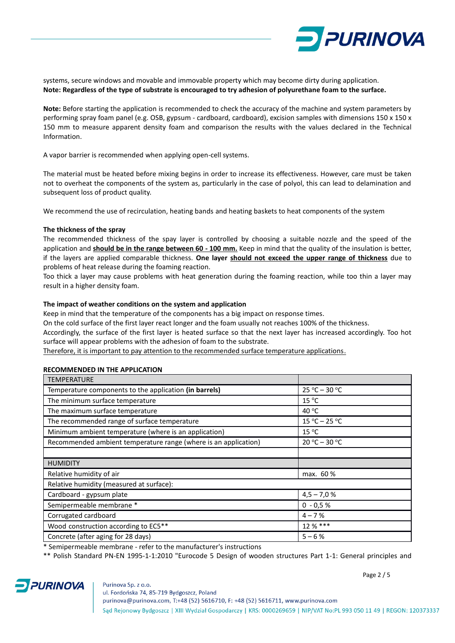

systems, secure windows and movable and immovable property which may become dirty during application. **Note: Regardless of the type of substrate is encouraged to try adhesion of polyurethane foam to the surface.**

**Note:** Before starting the application is recommended to check the accuracy of the machine and system parameters by performing spray foam panel (e.g. OSB, gypsum - cardboard, cardboard), excision samples with dimensions 150 x 150 x 150 mm to measure apparent density foam and comparison the results with the values declared in the Technical Information.

A vapor barrier is recommended when applying open-cell systems.

The material must be heated before mixing begins in order to increase its effectiveness. However, care must be taken not to overheat the components of the system as, particularly in the case of polyol, this can lead to delamination and subsequent loss of product quality.

We recommend the use of recirculation, heating bands and heating baskets to heat components of the system

### **The thickness of the spray**

The recommended thickness of the spay layer is controlled by choosing a suitable nozzle and the speed of the application and **should be in the range between 60 - 100 mm.** Keep in mind that the quality of the insulation is better, if the layers are applied comparable thickness. **One layer should not exceed the upper range of thickness** due to problems of heat release during the foaming reaction.

Too thick a layer may cause problems with heat generation during the foaming reaction, while too thin a layer may result in a higher density foam.

### **The impact of weather conditions on the system and application**

Keep in mind that the temperature of the components has a big impact on response times.

On the cold surface of the first layer react longer and the foam usually not reaches 100% of the thickness.

Accordingly, the surface of the first layer is heated surface so that the next layer has increased accordingly. Too hot surface will appear problems with the adhesion of foam to the substrate.

Therefore, it is important to pay attention to the recommended surface temperature applications.

#### **RECOMMENDED IN THE APPLICATION**

| <b>TEMPERATURE</b>                                              |                 |  |  |  |
|-----------------------------------------------------------------|-----------------|--|--|--|
| Temperature components to the application (in barrels)          | $25 °C - 30 °C$ |  |  |  |
| The minimum surface temperature                                 | $15^{\circ}$ C  |  |  |  |
| The maximum surface temperature                                 | 40 °C           |  |  |  |
| The recommended range of surface temperature                    | $15 °C - 25 °C$ |  |  |  |
| Minimum ambient temperature (where is an application)           | $15^{\circ}$ C  |  |  |  |
| Recommended ambient temperature range (where is an application) | $20 °C - 30 °C$ |  |  |  |
|                                                                 |                 |  |  |  |
| <b>HUMIDITY</b>                                                 |                 |  |  |  |
| Relative humidity of air                                        | max. 60 %       |  |  |  |
| Relative humidity (measured at surface):                        |                 |  |  |  |
| Cardboard - gypsum plate                                        | $4,5 - 7,0 %$   |  |  |  |
| Semipermeable membrane *                                        | $0 - 0.5 %$     |  |  |  |
| Corrugated cardboard                                            | $4 - 7%$        |  |  |  |
| Wood construction according to EC5**                            | 12 % ***        |  |  |  |
| Concrete (after aging for 28 days)                              | $5 - 6%$        |  |  |  |

\* Semipermeable membrane - refer to the manufacturer's instructions

\*\* Polish Standard PN-EN 1995-1-1:2010 "Eurocode 5 Design of wooden structures Part 1-1: General principles and



Page 2 / 5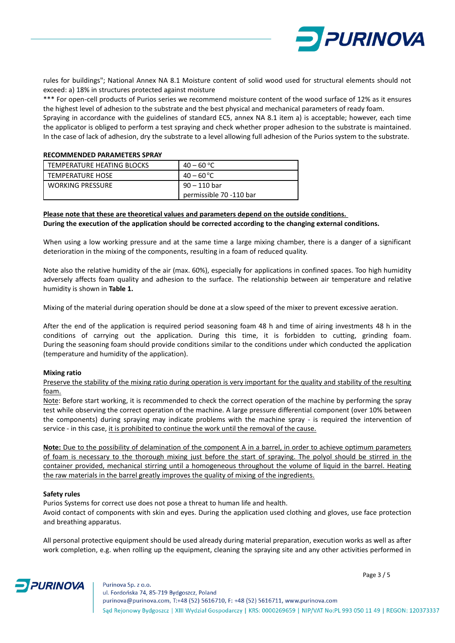

rules for buildings"; National Annex NA 8.1 Moisture content of solid wood used for structural elements should not exceed: a) 18% in structures protected against moisture

\*\*\* For open-cell products of Purios series we recommend moisture content of the wood surface of 12% as it ensures the highest level of adhesion to the substrate and the best physical and mechanical parameters of ready foam.

Spraying in accordance with the guidelines of standard EC5, annex NA 8.1 item a) is acceptable; however, each time the applicator is obliged to perform a test spraying and check whether proper adhesion to the substrate is maintained. In the case of lack of adhesion, dry the substrate to a level allowing full adhesion of the Purios system to the substrate.

#### **RECOMMENDED PARAMETERS SPRAY**

| TEMPERATURE HEATING BLOCKS | $40 - 60 °C$                            |
|----------------------------|-----------------------------------------|
| TEMPERATURE HOSE           | $40 - 60 °C$                            |
| <b>WORKING PRESSURE</b>    | 90 – 110 bar<br>permissible 70 -110 bar |

# **Please note that these are theoretical values and parameters depend on the outside conditions. During the execution of the application should be corrected according to the changing external conditions.**

When using a low working pressure and at the same time a large mixing chamber, there is a danger of a significant deterioration in the mixing of the components, resulting in a foam of reduced quality.

Note also the relative humidity of the air (max. 60%), especially for applications in confined spaces. Too high humidity adversely affects foam quality and adhesion to the surface. The relationship between air temperature and relative humidity is shown in **Table 1.**

Mixing of the material during operation should be done at a slow speed of the mixer to prevent excessive aeration.

After the end of the application is required period seasoning foam 48 h and time of airing investments 48 h in the conditions of carrying out the application. During this time, it is forbidden to cutting, grinding foam. During the seasoning foam should provide conditions similar to the conditions under which conducted the application (temperature and humidity of the application).

# **Mixing ratio**

Preserve the stability of the mixing ratio during operation is very important for the quality and stability of the resulting foam.

Note: Before start working, it is recommended to check the correct operation of the machine by performing the spray test while observing the correct operation of the machine. A large pressure differential component (over 10% between the components) during spraying may indicate problems with the machine spray - is required the intervention of service - in this case, it is prohibited to continue the work until the removal of the cause.

**Note:** Due to the possibility of delamination of the component A in a barrel, in order to achieve optimum parameters of foam is necessary to the thorough mixing just before the start of spraying. The polyol should be stirred in the container provided, mechanical stirring until a homogeneous throughout the volume of liquid in the barrel. Heating the raw materials in the barrel greatly improves the quality of mixing of the ingredients.

#### **Safety rules**

**PURINOVA** 

Purios Systems for correct use does not pose a threat to human life and health.

Avoid contact of components with skin and eyes. During the application used clothing and gloves, use face protection and breathing apparatus.

All personal protective equipment should be used already during material preparation, execution works as well as after work completion, e.g. when rolling up the equipment, cleaning the spraying site and any other activities performed in

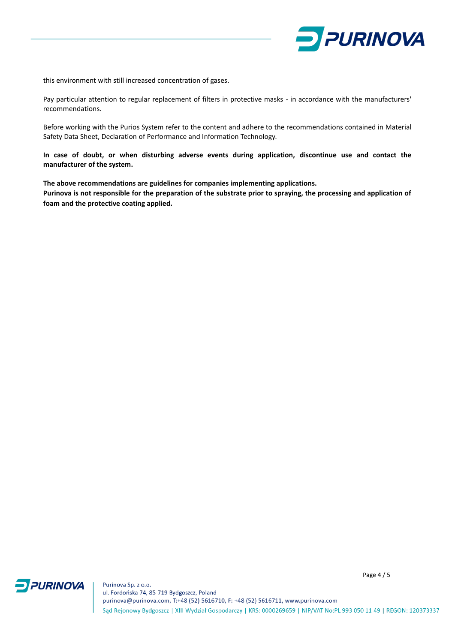

this environment with still increased concentration of gases.

Pay particular attention to regular replacement of filters in protective masks - in accordance with the manufacturers' recommendations.

Before working with the Purios System refer to the content and adhere to the recommendations contained in Material Safety Data Sheet, Declaration of Performance and Information Technology.

**In case of doubt, or when disturbing adverse events during application, discontinue use and contact the manufacturer of the system.**

**The above recommendations are guidelines for companies implementing applications.**

**Purinova is not responsible for the preparation of the substrate prior to spraying, the processing and application of foam and the protective coating applied.**



Purinova Sp. z o.o. ul. Fordońska 74, 85-719 Bydgoszcz, Poland purinova@purinova.com, T:+48 (52) 5616710, F: +48 (52) 5616711, www.purinova.com Sąd Rejonowy Bydgoszcz | XIII Wydział Gospodarczy | KRS: 0000269659 | NIP/VAT No:PL 993 050 11 49 | REGON: 120373337

Page 4 / 5